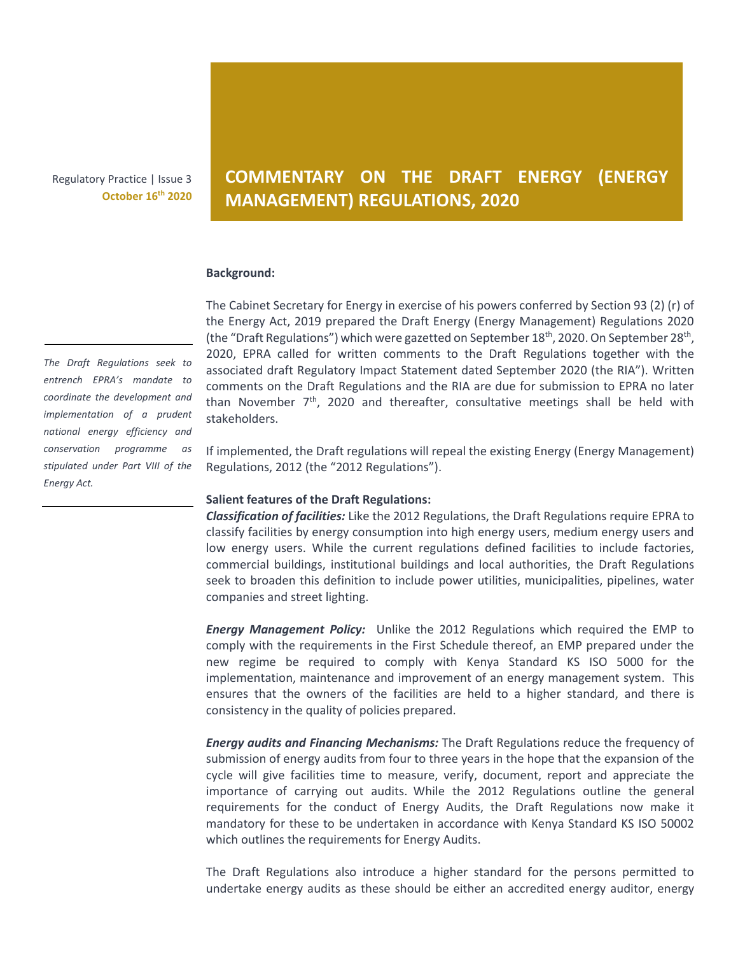Regulatory Practice | Issue 3 **October 16th 2020**

## **COMMENTARY ON THE DRAFT ENERGY (ENERGY MANAGEMENT) REGULATIONS, 2020**

## **Background:**

The Cabinet Secretary for Energy in exercise of his powers conferred by Section 93 (2) (r) of the Energy Act, 2019 prepared the Draft Energy (Energy Management) Regulations 2020 (the "Draft Regulations") which were gazetted on September 18<sup>th</sup>, 2020. On September 28<sup>th</sup>, 2020, EPRA called for written comments to the Draft Regulations together with the associated draft Regulatory Impact Statement dated September 2020 (the RIA"). Written comments on the Draft Regulations and the RIA are due for submission to EPRA no later than November  $7<sup>th</sup>$ , 2020 and thereafter, consultative meetings shall be held with stakeholders.

If implemented, the Draft regulations will repeal the existing Energy (Energy Management) Regulations, 2012 (the "2012 Regulations").

## **Salient features of the Draft Regulations:**

*Classification of facilities:* Like the 2012 Regulations, the Draft Regulations require EPRA to classify facilities by energy consumption into high energy users, medium energy users and low energy users. While the current regulations defined facilities to include factories, commercial buildings, institutional buildings and local authorities, the Draft Regulations seek to broaden this definition to include power utilities, municipalities, pipelines, water companies and street lighting.

*Energy Management Policy:* Unlike the 2012 Regulations which required the EMP to comply with the requirements in the First Schedule thereof, an EMP prepared under the new regime be required to comply with Kenya Standard KS ISO 5000 for the implementation, maintenance and improvement of an energy management system. This ensures that the owners of the facilities are held to a higher standard, and there is consistency in the quality of policies prepared.

*Energy audits and Financing Mechanisms:* The Draft Regulations reduce the frequency of submission of energy audits from four to three years in the hope that the expansion of the cycle will give facilities time to measure, verify, document, report and appreciate the importance of carrying out audits. While the 2012 Regulations outline the general requirements for the conduct of Energy Audits, the Draft Regulations now make it mandatory for these to be undertaken in accordance with Kenya Standard KS ISO 50002 which outlines the requirements for Energy Audits.

The Draft Regulations also introduce a higher standard for the persons permitted to undertake energy audits as these should be either an accredited energy auditor, energy

*The Draft Regulations seek to entrench EPRA's mandate to coordinate the development and implementation of a prudent national energy efficiency and conservation programme as stipulated under Part VIII of the Energy Act.*